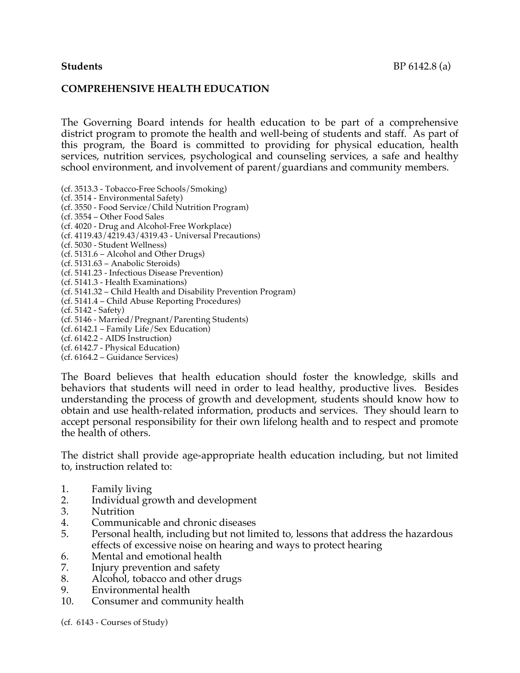## **COMPREHENSIVE HEALTH EDUCATION**

The Governing Board intends for health education to be part of a comprehensive district program to promote the health and well-being of students and staff. As part of this program, the Board is committed to providing for physical education, health services, nutrition services, psychological and counseling services, a safe and healthy school environment, and involvement of parent/guardians and community members.

(cf. 3513.3 - Tobacco-Free Schools/Smoking) (cf. 3514 - Environmental Safety) (cf. 3550 - Food Service/Child Nutrition Program) (cf. 3554 – Other Food Sales (cf. 4020 - Drug and Alcohol-Free Workplace) (cf. 4119.43/4219.43/4319.43 - Universal Precautions) (cf. 5030 - Student Wellness) (cf. 5131.6 – Alcohol and Other Drugs) (cf. 5131.63 – Anabolic Steroids) (cf. 5141.23 - Infectious Disease Prevention) (cf. 5141.3 - Health Examinations) (cf. 5141.32 – Child Health and Disability Prevention Program) (cf. 5141.4 – Child Abuse Reporting Procedures) (cf. 5142 - Safety) (cf. 5146 - Married/Pregnant/Parenting Students) (cf. 6142.1 – Family Life/Sex Education) (cf. 6142.2 - AIDS Instruction) (cf. 6142.7 - Physical Education) (cf. 6164.2 – Guidance Services)

The Board believes that health education should foster the knowledge, skills and behaviors that students will need in order to lead healthy, productive lives. Besides understanding the process of growth and development, students should know how to obtain and use health-related information, products and services. They should learn to accept personal responsibility for their own lifelong health and to respect and promote the health of others.

The district shall provide age-appropriate health education including, but not limited to, instruction related to:

- 1. Family living
- 2. Individual growth and development
- 3. Nutrition
- 4. Communicable and chronic diseases
- 5. Personal health, including but not limited to, lessons that address the hazardous effects of excessive noise on hearing and ways to protect hearing
- 6. Mental and emotional health
- 7. Injury prevention and safety
- 8. Alcohol, tobacco and other drugs
- 9. Environmental health
- 10. Consumer and community health

(cf. 6143 - Courses of Study)